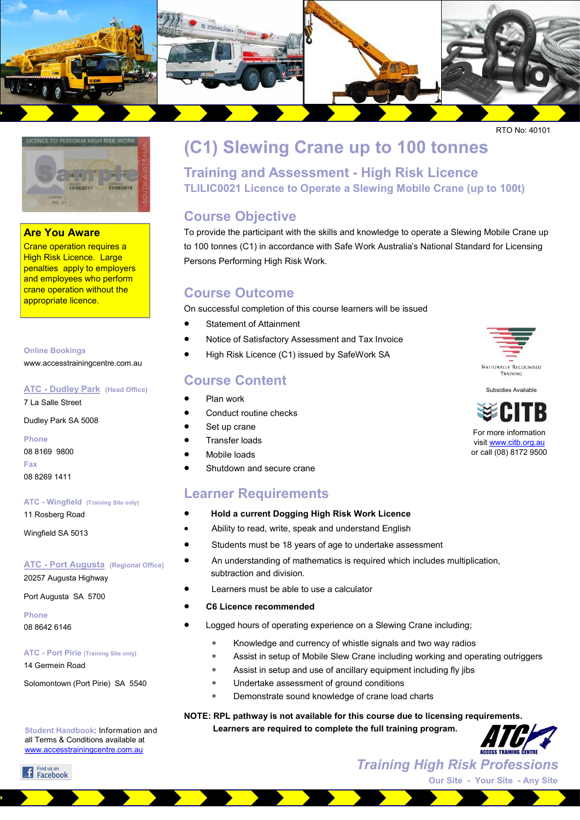

RTO No: 40101



#### **Are You Aware**

Crane operation requires a High Risk Licence. Large penalties apply to employers and employees who perform crane operation without the appropriate licence.

#### **Online Bookings**

www.accesstrainingcentre.com.au

#### **ATC - Dudley Park (Head Office)**

7 La Salle Street

Dudley Park SA 5008

**Phone**  08 8169 9800 **Fax**  08 8269 1411

#### **ATC - Wingfield (Training Site only)**

11 Rosberg Road

Wingfield SA 5013

#### **ATC - Port Augusta (Regional Office)** 20257 Augusta Highway

Port Augusta SA 5700

**Phone**  08 8642 6146

#### **ATC - Port Pirie (Training Site only)**

14 Germein Road

Solomontown (Port Pirie) SA 5540

**Student Handbook**: Information and all Terms & Conditions available at [www.accesstrainingcentre.com.au](http://www.accesstrainingcentre.com.au)

## **(C1) Slewing Crane up to 100 tonnes**

**Training and Assessment - High Risk Licence TLILIC0021 Licence to Operate a Slewing Mobile Crane (up to 100t)** 

#### **Course Objective**

To provide the participant with the skills and knowledge to operate a Slewing Mobile Crane up to 100 tonnes (C1) in accordance with Safe Work Australia's National Standard for Licensing Persons Performing High Risk Work.

#### **Course Outcome**

On successful completion of this course learners will be issued

- Statement of Attainment
- Notice of Satisfactory Assessment and Tax Invoice
- High Risk Licence (C1) issued by SafeWork SA

#### **Course Content**

- Plan work
- Conduct routine checks
- 
- 
- 
- 

#### **Learner Requirements**

- **Hold a current Dogging High Risk Work Licence**
- Ability to read, write, speak and understand English
- Students must be 18 years of age to undertake assessment
- An understanding of mathematics is required which includes multiplication, subtraction and division.
- Learners must be able to use a calculator
- **C6 Licence recommended**
- Logged hours of operating experience on a Slewing Crane including;
	- Knowledge and currency of whistle signals and two way radios
	- Assist in setup of Mobile Slew Crane including working and operating outriggers
	- Assist in setup and use of ancillary equipment including fly jibs
	- Undertake assessment of ground conditions
	- Demonstrate sound knowledge of crane load charts

#### **NOTE: RPL pathway is not available for this course due to licensing requirements.**

 **Learners are required to complete the full training program.**



*Training High Risk Professions*





**Our Site - Your Site - Any Site**





For more information visit [www.citb.org.au](http://www.citb.org.au) or call (08) 8172 9500

- Set up crane Transfer loads
- 
- Shutdown and secure crane

## Mobile loads